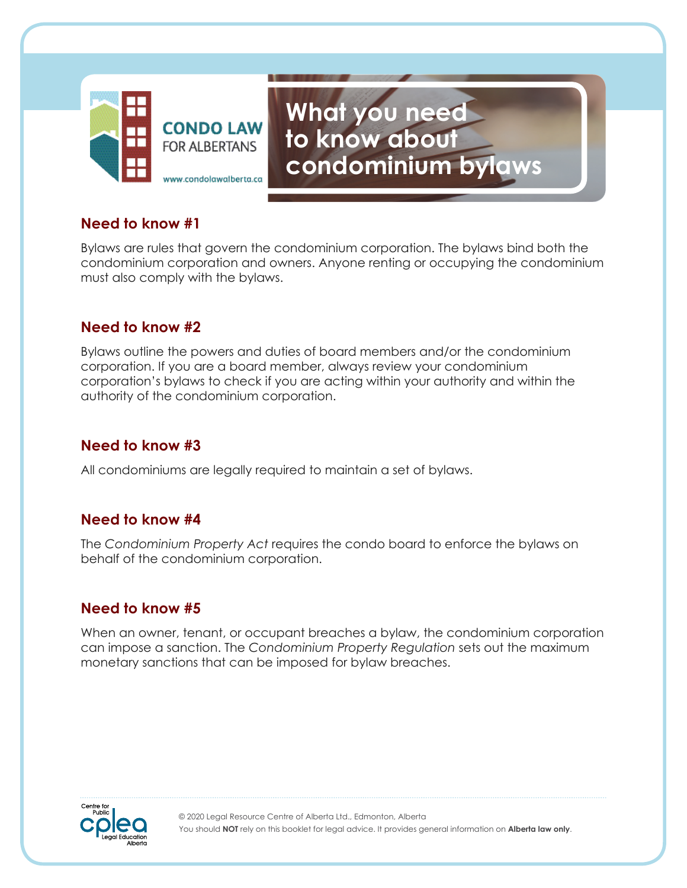

# **What you need to know about condominium bylaws**

## **Need to know #1**

Bylaws are rules that govern the condominium corporation. The bylaws bind both the condominium corporation and owners. Anyone renting or occupying the condominium must also comply with the bylaws.

## **Need to know #2**

Bylaws outline the powers and duties of board members and/or the condominium corporation. If you are a board member, always review your condominium corporation's bylaws to check if you are acting within your authority and within the authority of the condominium corporation.

## **Need to know #3**

All condominiums are legally required to maintain a set of bylaws.

## **Need to know #4**

The *Condominium Property Act* requires the condo board to enforce the bylaws on behalf of the condominium corporation.

## **Need to know #5**

When an owner, tenant, or occupant breaches a bylaw, the condominium corporation can impose a sanction. The *Condominium Property Regulation* sets out the maximum monetary sanctions that can be imposed for bylaw breaches.